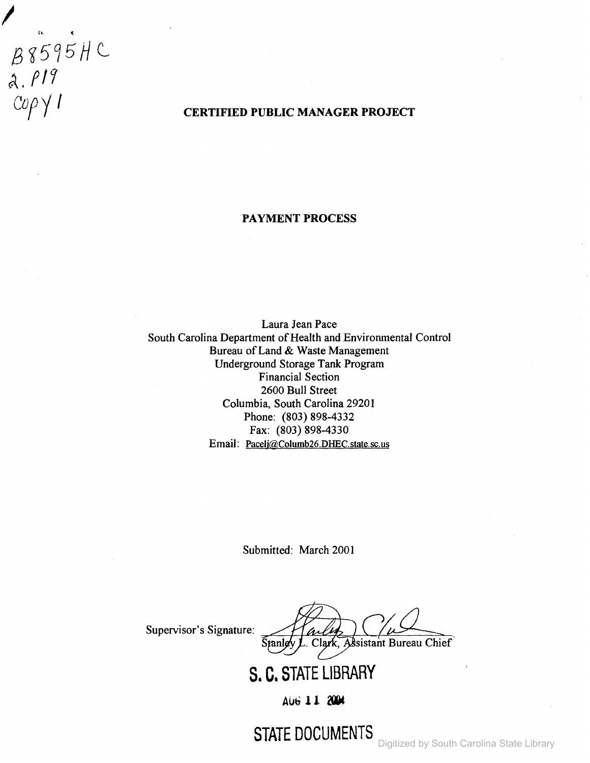$B8595HC  
\na. P19  
\nCopp1$ 

## **CERTIFIED PUBLIC MANAGER PROJECT**

#### **PAYMENT PROCESS**

Laura Jean Pace South Carolina Department of Health and Environmental Control Bureau of Land & Waste Management Underground Storage Tank Program Financial Section 2600 Bull Street Columbia, South Carolina 29201 Phone: (803) 898-4332 Fax: (803) 898-4330 Email: Paceli@Columb26.DHEC.state.sc.us

Submitted: March 2001

Supervisor's Signature:  $\frac{1}{\text{Stanley L}}$  Clark, Assistant Bureau Chief Stanley

**S. C. STATE LIBRARY**

AUb **11**

**STATE DOCUMENTS**

Digitized by South Carolina State Library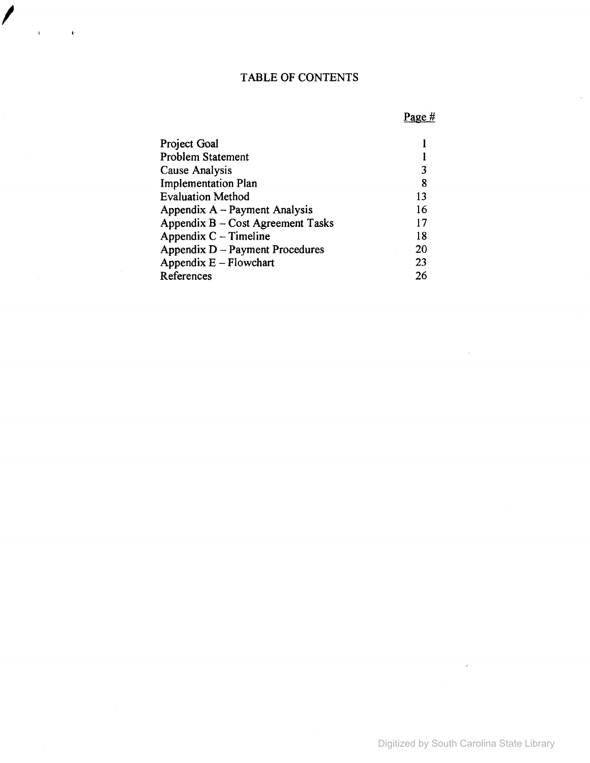## TABLE OF CONTENTS

I

 $\bar{\mathbf{U}}$ 

# Page #

 $\hat{\boldsymbol{\theta}}$ 

| Project Goal                      |    |
|-----------------------------------|----|
| <b>Problem Statement</b>          |    |
| Cause Analysis                    | 3  |
| <b>Implementation Plan</b>        | 8  |
| <b>Evaluation Method</b>          | 13 |
| Appendix A – Payment Analysis     | 16 |
| Appendix B - Cost Agreement Tasks | 17 |
| Appendix $C -$ Timeline           | 18 |
| Appendix D – Payment Procedures   | 20 |
| Appendix $E$ – Flowchart          | 23 |
| References                        | 26 |

 $\mathcal{A}^{\mathrm{c}}$  .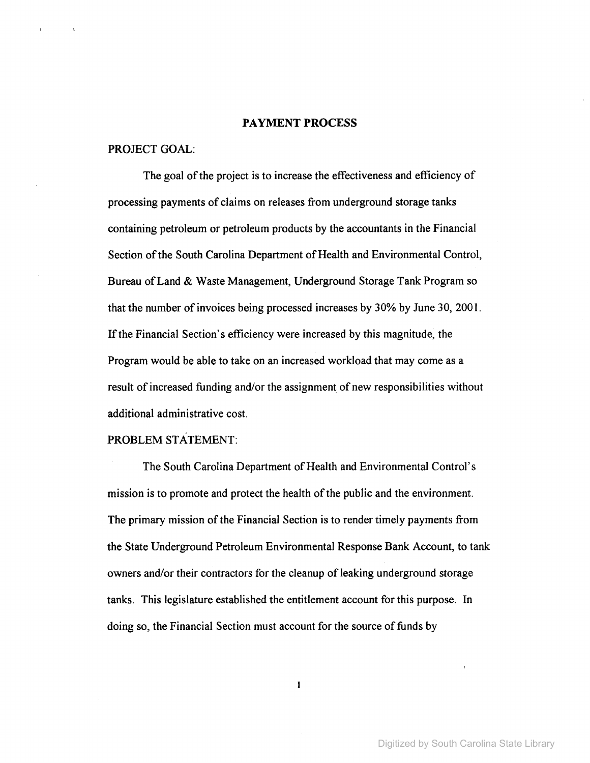#### PAYMENT PROCESS

### PROJECT GOAL:

The goal of the project is to increase the effectiveness and efficiency of processing payments of claims on releases from underground storage tanks containing petroleum or petroleum products by the accountants in the Financial Section of the South Carolina Department of Health and Environmental Control, Bureau of Land & Waste Management, Underground Storage Tank Program so that the number of invoices being processed increases by 30% by June 30, 2001. If the Financial Section's efficiency were increased by this magnitude, the Program would be able to take on an increased workload that may come as a result of increased funding and/or the assignment of new responsibilities without additional administrative cost.

#### PROBLEM STATEMENT:

The South Carolina Department of Health and Environmental Control's mission is to promote and protect the health of the public and the environment. The primary mission of the Financial Section is to render timely payments from the State Underground Petroleum Environmental Response Bank Account, to tank owners and/or their contractors for the cleanup of leaking underground storage tanks. This legislature established the entitlement account for this purpose. In doing so, the Financial Section must account for the source of funds by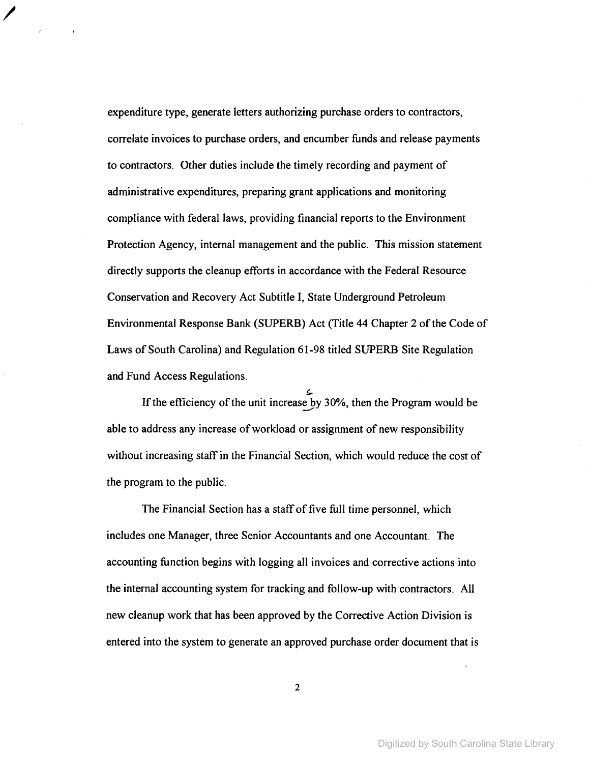expenditure type, generate letters authorizing purchase orders to contractors, correlate invoices to purchase orders, and encumber funds and release payments to contractors. Other duties include the timely recording and payment of administrative expenditures, preparing grant applications and monitoring compliance with federal laws, providing financial reports to the Environment Protection Agency, internal management and the public. This mission statement directly supports the cleanup efforts in accordance with the Federal Resource Conservation and Recovery Act Subtitle I, State Underground Petroleum Environmental Response Bank (SUPERB) Act (Title 44 Chapter 2 of the Code of Laws of South Carolina) and Regulation 61-98 titled SUPERB Site Regulation and Fund Access Regulations.

/

If the efficiency of the unit increase by  $30\%$ , then the Program would be able to address any increase of workload or assignment of new responsibility without increasing staff in the Financial Section, which would reduce the cost of the program to the public.

The Financial Section has a staff of five full time personnel, which includes one Manager, three Senior Accountants and one Accountant. The accounting function begins with logging all invoices and corrective actions into the internal accounting system for tracking and follow-up with contractors. All new cleanup work that has been approved by the Corrective Action Division is entered into the system to generate an approved purchase order document that is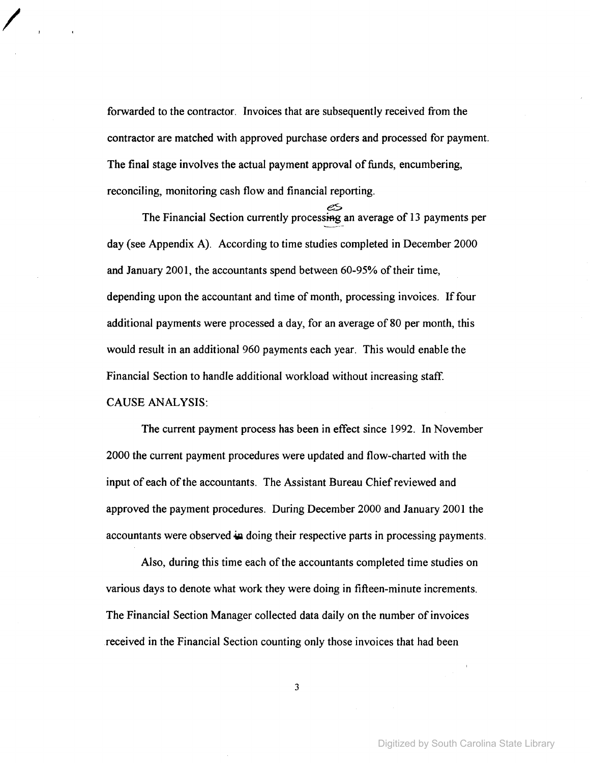forwarded to the contractor. Invoices that are subsequently received from the contractor are matched with approved purchase orders and processed for payment. The final stage involves the actual payment approval of funds, encumbering, reconciling, monitoring cash flow and financial reporting.

I

es The Financial Section currently processing an average of 13 payments per day (see Appendix A). According to time studies completed in December 2000 and January 2001, the accountants spend between 60-95% of their time, depending upon the accountant and time of month, processing invoices. If four additional payments were processed a day, for an average of 80 per month, this would result in an additional 960 payments each year. This would enable the Financial Section to handle additional workload without increasing staff. CAUSE ANALYSIS:

The current payment process has been in effect since 1992. In November 2000 the current payment procedures were updated and flow-charted with the input of each of the accountants. The Assistant Bureau Chief reviewed and approved the payment procedures. During December 2000 and January 2001 the accountants were observed in doing their respective parts in processing payments.

Also, during this time each of the accountants completed time studies on various days to denote what work they were doing in fifteen-minute increments. The Financial Section Manager collected data daily on the number of invoices received in the Financial Section counting only those invoices that had been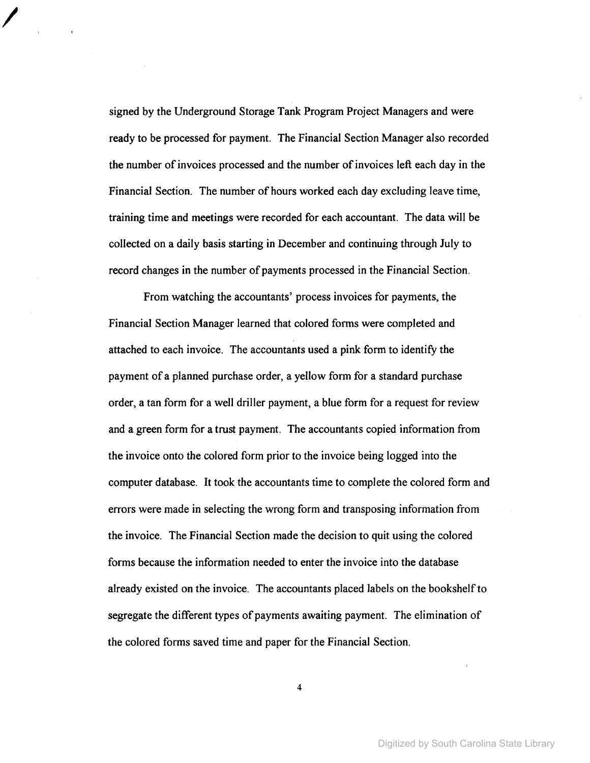signed by the Underground Storage Tank Program Project Managers and were ready to be processed for payment. The Financial Section Manager also recorded the number ofinvoices processed and the number ofinvoices left each day in the Financial Section. The number of hours worked each day excluding leave time, training time and meetings were recorded for each accountant. The data will be collected on a daily basis starting in December and continuing through July to record changes in the number of payments processed in the Financial Section.

I

From watching the accountants' process invoices for payments, the Financial Section Manager learned that colored forms were completed and attached to each invoice. The accountants used a pink form to identify the payment of a planned purchase order, a yellow form for a standard purchase order, a tan form for a well driller payment, a blue form for a request for review and a green form for a trust payment. The accountants copied information from the invoice onto the colored form prior to the invoice being logged into the computer database. It took the accountants time to complete the colored form and errors were made in selecting the wrong form and transposing information from the invoice. The Financial Section made the decision to quit using the colored forms because the information needed to enter the invoice into the database already existed on the invoice. The accountants placed labels on the bookshelfto segregate the different types of payments awaiting payment. The elimination of the colored forms saved time and paper for the Financial Section.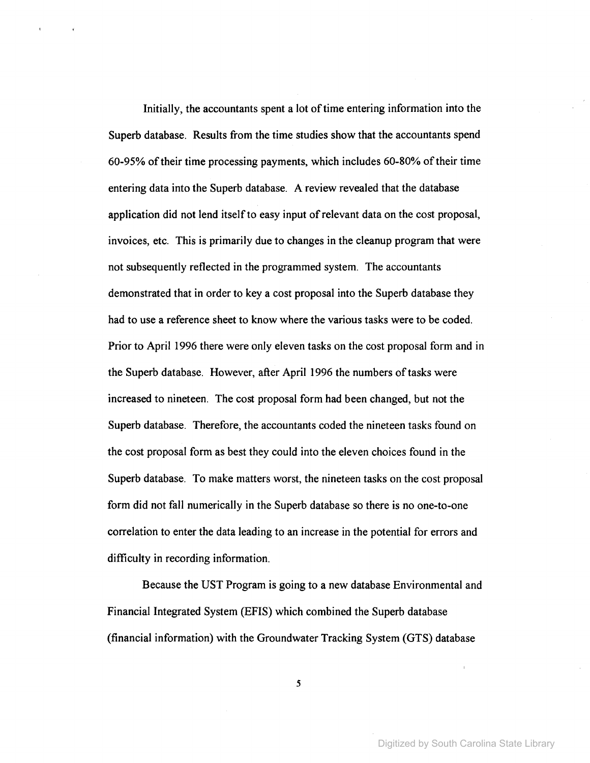Initially, the accountants spent a lot of time entering information into the Superb database. Results from the time studies show that the accountants spend 60-95% oftheir time processing payments, which includes 60-80% oftheir time entering data into the Superb database. A review revealed that the database application did not lend itselfto easy input ofrelevant data on the cost proposal, invoices, etc. This is primarily due to changes in the cleanup program that were not subsequently reflected in the programmed system. The accountants demonstrated that in order to key a cost proposal into the Superb database they had to use a reference sheet to know where the various tasks were to be coded. Prior to April 1996 there were only eleven tasks on the cost proposal form and in the Superb database. However, after April 1996 the numbers of tasks were increased to nineteen. The cost proposal form had been changed, but not the Superb database. Therefore, the accountants coded the nineteen tasks found on the cost proposal form as best they could into the eleven choices found in the Superb database. To make matters worst, the nineteen tasks on the cost proposal form did not fall numerically in the Superb database so there is no one-to-one correlation to enter the data leading to an increase in the potential for errors and difficulty in recording information.

Because the UST Program is going to a new database Environmental and Financial Integrated System (EFIS) which combined the Superb database (financial information) with the Groundwater Tracking System (GTS) database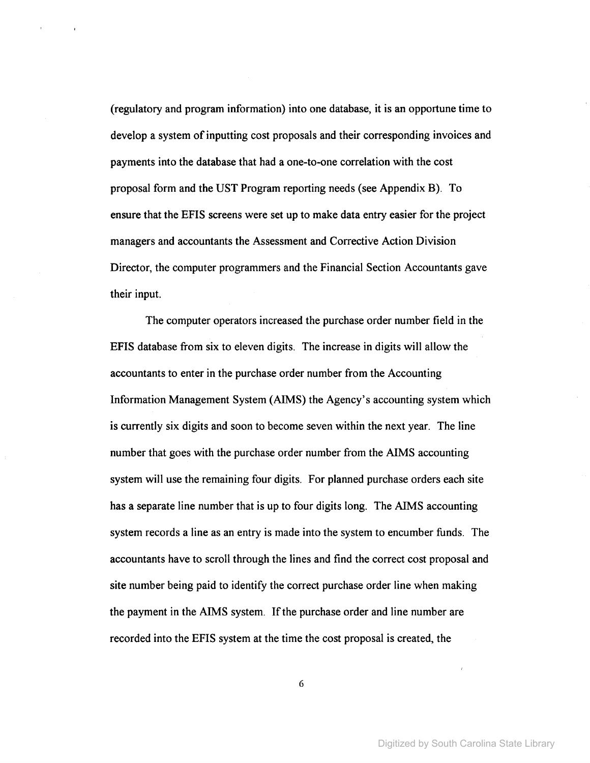(regulatory and program information) into one database, it is an opportune time to develop a system of inputting cost proposals and their corresponding invoices and payments into the database that had a one-to-one correlation with the cost proposal form and the UST Program reporting needs (see Appendix B). To ensure that the EFIS screens were set up to make data entry easier for the project managers and accountants the Assessment and Corrective Action Division Director, the computer programmers and the Financial Section Accountants gave their input.

The computer operators increased the purchase order number field in the EFIS database from six to eleven digits. The increase in digits will allow the accountants to enter in the purchase order number from the Accounting Information Management System (AIMS) the Agency's accounting system which is currently six digits and soon to become seven within the next year. The line number that goes with the purchase order number from the AIMS accounting system will use the remaining four digits. For planned purchase orders each site has a separate line number that is up to four digits long. The AIMS accounting system records a line as an entry is made into the system to encumber funds. The accountants have to scroll through the lines and find the correct cost proposal and site number being paid to identify the correct purchase order line when making the payment in the AIMS system. If the purchase order and line number are recorded into the EFIS system at the time the cost proposal is created, the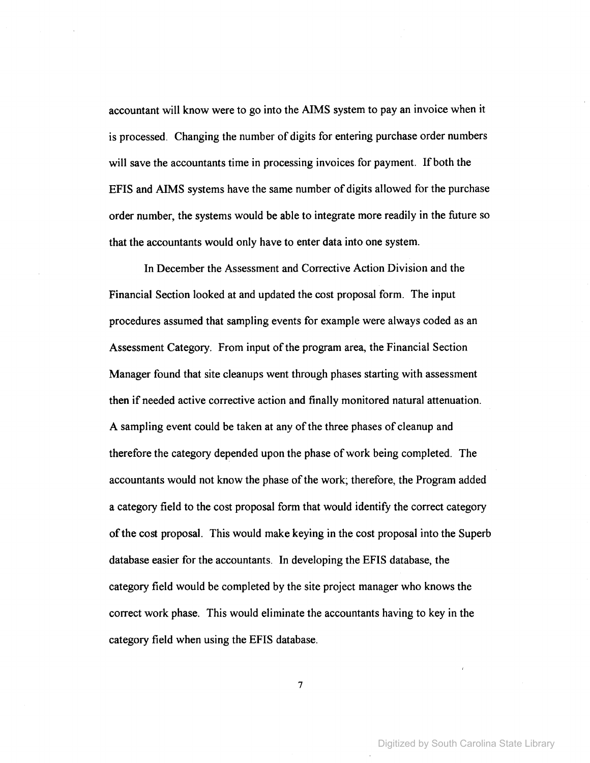accountant will know were to go into the AIMS system to pay an invoice when it is processed. Changing the number of digits for entering purchase order numbers will save the accountants time in processing invoices for payment. If both the EFIS and AIMS systems have the same number of digits allowed for the purchase order number, the systems would be able to integrate more readily in the future so that the accountants would only have to enter data into one system.

In December the Assessment and Corrective Action Division and the Financial Section looked at and updated the cost proposal form. The input procedures assumed that sampling events for example were always coded as an Assessment Category. From input of the program area, the Financial Section Manager found that site cleanups went through phases starting with assessment then if needed active corrective action and finally monitored natural attenuation. A sampling event could be taken at any of the three phases of cleanup and therefore the category depended upon the phase ofwork being completed. The accountants would not know the phase of the work; therefore, the Program added a category field to the cost proposal form that would identify the correct category ofthe cost proposal. This would make keying in the cost proposal into the Superb database easier for the accountants. In developing the EFIS database, the category field would be completed by the site project manager who knows the correct work phase. This would eliminate the accountants having to key in the category field when using the EFIS database.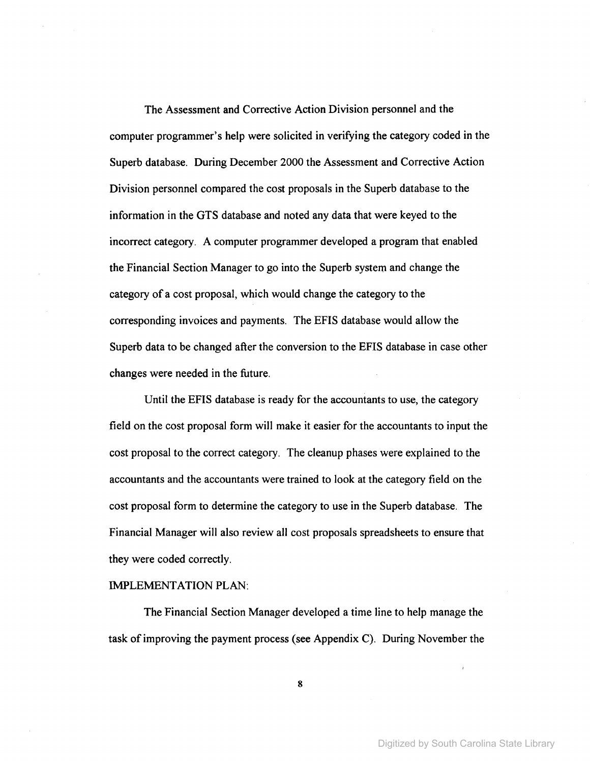The Assessment and Corrective Action Division personnel and the computer programmer's help were solicited in verifying the category coded in the Superb database. During December 2000 the Assessment and Corrective Action Division personnel compared the cost proposals in the Superb database to the information in the GTS database and noted any data that were keyed to the incorrect category. A computer programmer developed a program that enabled the Financial Section Manager to go into the Superb system and change the category of a cost proposal, which would change the category to the corresponding invoices and payments. The EFIS database would allow the Superb data to be changed after the conversion to the EFIS database in case other changes were needed in the future.

Until the EFIS database is ready for the accountants to use, the category field on the cost proposal form will make it easier for the accountants to input the cost proposal to the correct category. The cleanup phases were explained to the accountants and the accountants were trained to look at the category field on the cost proposal form to determine the category to use in the Superb database. The Financial Manager will also review all cost proposals spreadsheets to ensure that they were coded correctly.

#### IMPLEMENTATION PLAN:

The Financial Section Manager developed a time line to help manage the task of improving the payment process (see Appendix C). During November the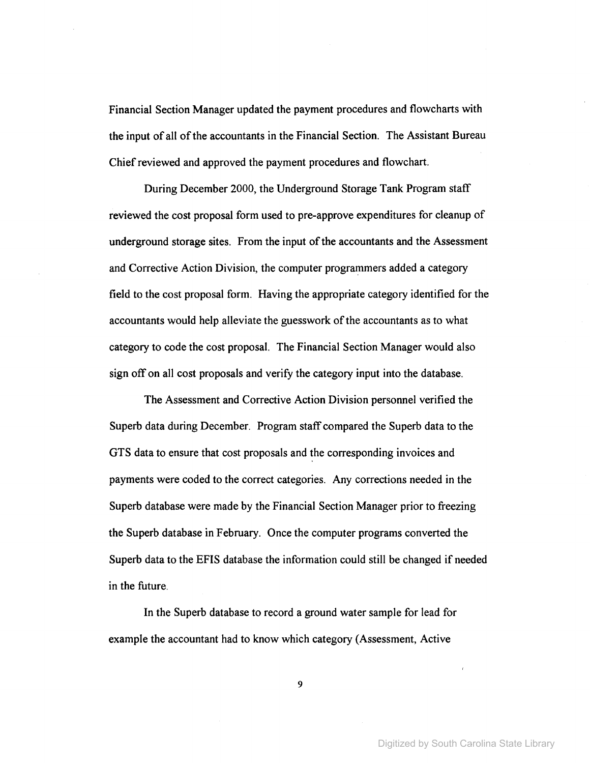Financial Section Manager updated the payment procedures and flowcharts with the input of all of the accountants in the Financial Section. The Assistant Bureau Chief reviewed and approved the payment procedures and flowchart.

During December 2000, the Underground Storage Tank Program staff reviewed the cost proposal form used to pre-approve expenditures for cleanup of underground storage sites. From the input of the accountants and the Assessment and Corrective Action Division, the computer programmers added a category field to the cost proposal form. Having the appropriate category identified for the accountants would help alleviate the guesswork of the accountants as to what category to code the cost proposal. The Financial Section Manager would also sign off on all cost proposals and verify the category input into the database.

The Assessment and Corrective Action Division personnel verified the Superb data during December. Program staff compared the Superb data to the GTS data to ensure that cost proposals and the corresponding invoices and payments were coded to the correct categories. Any corrections needed in the Superb database were made by the Financial Section Manager prior to freezing the Superb database in February. Once the computer programs converted the Superb data to the EFIS database the information could still be changed if needed in the future.

In the Superb database to record a ground water sample for lead for example the accountant had to know which category (Assessment, Active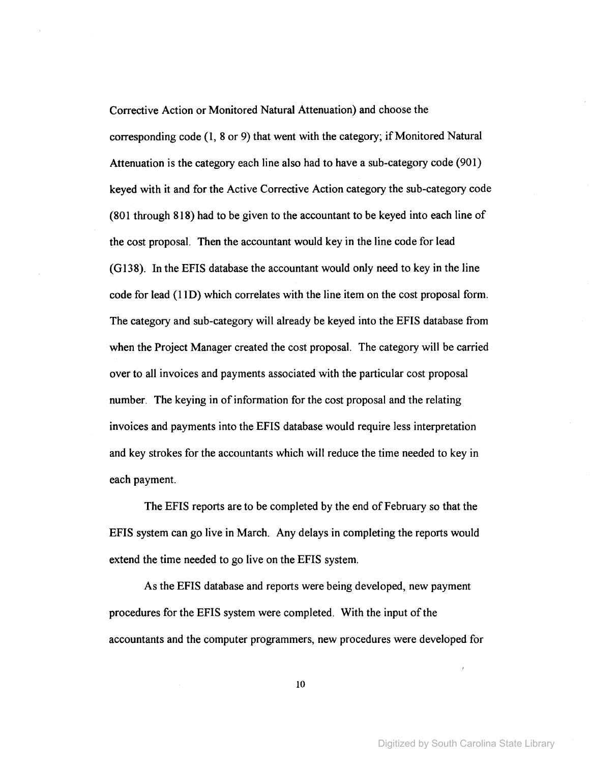Corrective Action or Monitored Natural Attenuation) and choose the corresponding code  $(1, 8 \text{ or } 9)$  that went with the category; if Monitored Natural Attenuation is the category each line also had to have a sub-category code (901) keyed with it and for the Active Corrective Action category the sub-category code (801 through 818) had to be given to the accountant to be keyed into each line of the cost proposal. Then the accountant would key in the line code for lead (G138). In the EFIS database the accountant would only need to key in the line code for lead (110) which correlates with the line item on the cost proposal form. The category and sub-category will already be keyed into the EFIS database from when the Project Manager created the cost proposal. The category will be carried over to all invoices and payments associated with the particular cost proposal number. The keying in of information for the cost proposal and the relating invoices and payments into the EFIS database would require less interpretation and key strokes for the accountants which will reduce the time needed to key in each payment.

The EFIS reports are to be completed by the end of February so that the EFIS system can go live in March. Any delays in completing the reports would extend the time needed to go live on the EFIS system.

As the EFIS database and reports were being developed, new payment procedures for the EFIS system were completed. With the input of the accountants and the computer programmers, new procedures were developed for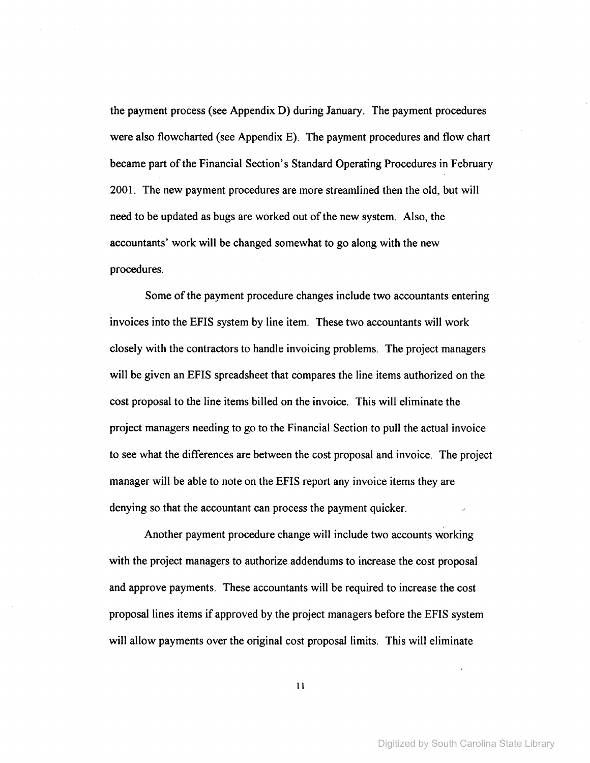the payment process (see Appendix D) during January. The payment procedures were also flowcharted (see Appendix E). The payment procedures and flow chart became part of the Financial Section's Standard Operating Procedures in February 2001. The new payment procedures are more streamlined then the old, but will need to be updated as bugs are worked out of the new system. Also, the accountants' work will be changed somewhat to go along with the new procedures.

Some of the payment procedure changes include two accountants entering invoices into the EFIS system by line item. These two accountants will work closely with the contractors to handle invoicing problems. The project managers will be given an EFIS spreadsheet that compares the line items authorized on the cost proposal to the line items billed on the invoice. This will eliminate the project managers needing to go to the Financial Section to pull the actual invoice to see what the differences are between the cost proposal and invoice. The project manager will be able to note on the EFIS report any invoice items they are denying so that the accountant can process the payment quicker.

Another payment procedure change will include two accounts working with the project managers to authorize addendums to increase the cost proposal and approve payments. These accountants will be required to increase the cost proposal lines items if approved by the project managers before the EFIS system will allow payments over the original cost proposal limits. This will eliminate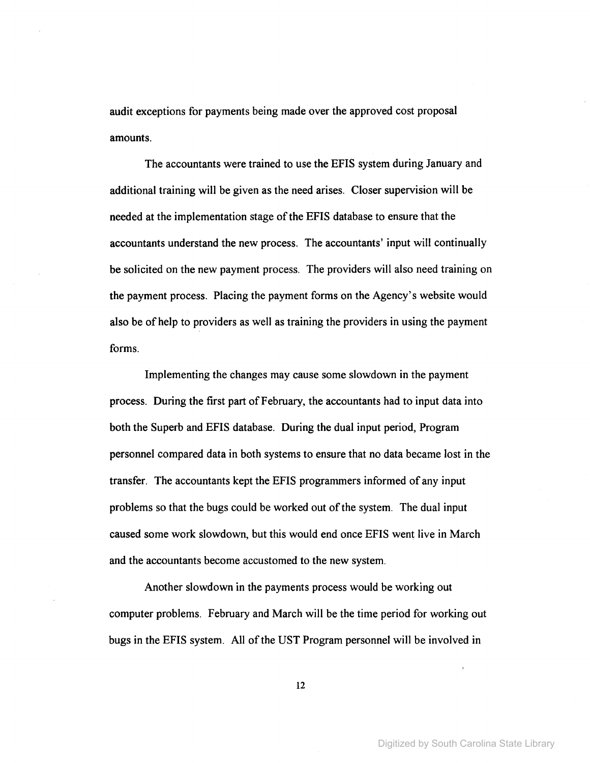audit exceptions for payments being made over the approved cost proposal amounts.

The accountants were trained to use the EFIS system during January and additional training will be given as the need arises. Closer supervision will be needed at the implementation stage of the EFIS database to ensure that the accountants understand the new process. The accountants' input will continually be solicited on the new payment process. The providers will also need training on the payment process. Placing the payment forms on the Agency's website would also be of help to providers as well as training the providers in using the payment forms.

Implementing the changes may cause some slowdown in the payment process. During the first part ofFebruary, the accountants had to input data into both the Superb and EFIS database. During the dual input period, Program personnel compared data in both systems to ensure that no data became lost in the transfer. The accountants kept the EFIS programmers informed of any input problems so that the bugs could be worked out of the system. The dual input caused some work slowdown, but this would end once EFIS went live in March and the accountants become accustomed to the new system.

Another slowdown in the payments process would be working out computer problems. February and March will be the time period for working out bugs in the EFIS system. All of the UST Program personnel will be involved in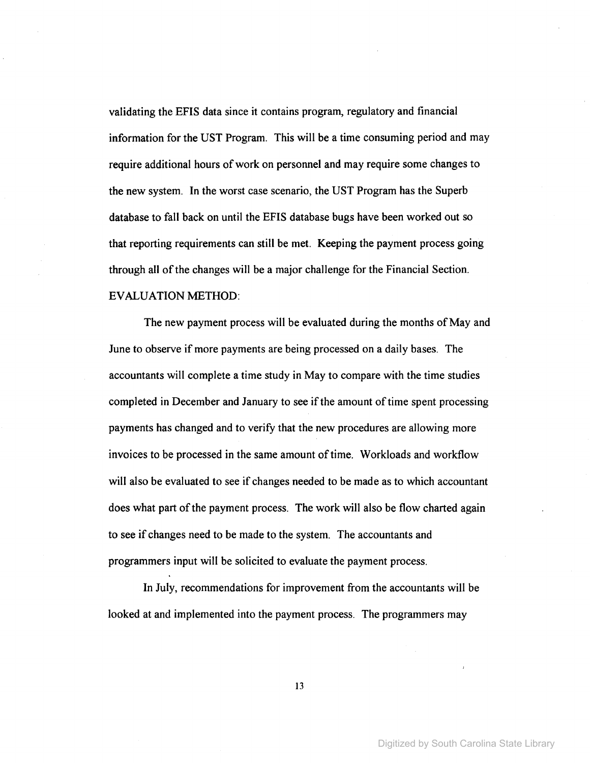validating the EFIS data since it contains program, regulatory and financial information for the UST Program. This will be a time consuming period and may require additional hours of work on personnel and may require some changes to the new system. In the worst case scenario, the UST Program has the Superb database to fall back on until the EFIS database bugs have been worked out so that reporting requirements can still be met. Keeping the payment process going through all of the changes will be a major challenge for the Financial Section. EVALUATION METHOD:

The new payment process will be evaluated during the months of May and June to observe if more payments are being processed on a daily bases. The accountants will complete a time study in May to compare with the time studies completed in December and January to see if the amount of time spent processing payments has changed and to verify that the new procedures are allowing more invoices to be processed in the same amount of time. Workloads and workflow will also be evaluated to see if changes needed to be made as to which accountant does what part of the payment process. The work will also be flow charted again to see if changes need to be made to the system. The accountants and programmers input will be solicited to evaluate the payment process.

In July, recommendations for improvement from the accountants will be looked at and implemented into the payment process. The programmers may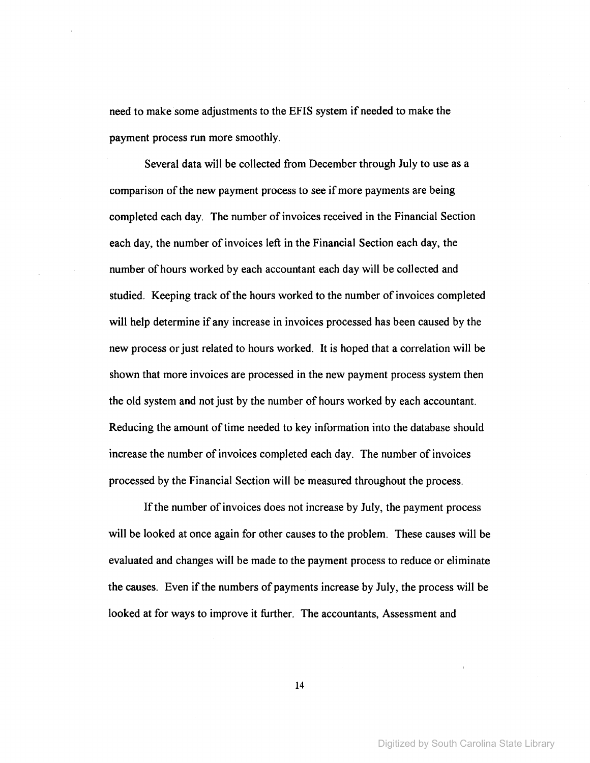need to make some adjustments to the EFIS system if needed to make the payment process run more smoothly.

Several data will be collected from December through July to use as a comparison of the new payment process to see if more payments are being completed each day. The number of invoices received in the Financial Section each day, the number of invoices left in the Financial Section each day, the number of hours worked by each accountant each day will be collected and studied. Keeping track of the hours worked to the number of invoices completed will help determine if any increase in invoices processed has been caused by the new process or just related to hours worked. It is hoped that a correlation will be shown that more invoices are processed in the new payment process system then the old system and not just by the number of hours worked by each accountant. Reducing the amount of time needed to key information into the database should increase the number of invoices completed each day. The number of invoices processed by the Financial Section will be measured throughout the process.

If the number of invoices does not increase by July, the payment process will be looked at once again for other causes to the problem. These causes will be evaluated and changes will be made to the payment process to reduce or eliminate the causes. Even if the numbers of payments increase by July, the process will be looked at for ways to improve it further. The accountants, Assessment and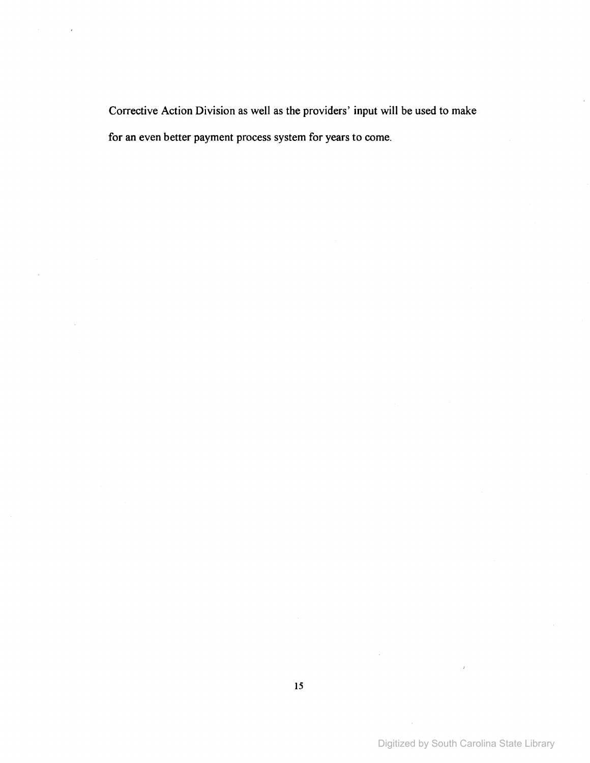Corrective Action Division as well as the providers' input will be used to make for an even better payment process system for years to come.

Digitized by South Carolina State Library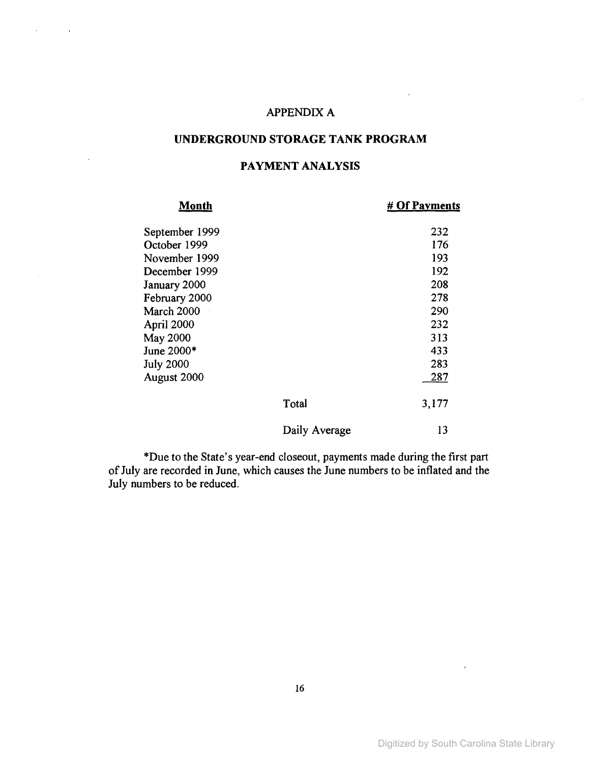## APPENDIX A

## UNDERGROUND STORAGE TANK PROGRAM

## **PAYMENT ANALYSIS**

| Month            |               | # Of Payments |
|------------------|---------------|---------------|
| September 1999   |               | 232           |
| October 1999     |               | 176           |
| November 1999    |               | 193           |
| December 1999    |               | 192           |
| January 2000     |               | 208           |
| February 2000    |               | 278           |
| March 2000       |               | 290           |
| April 2000       |               | 232           |
| May 2000         |               | 313           |
| June 2000*       |               | 433           |
| <b>July 2000</b> |               | 283           |
| August 2000      |               | 287           |
|                  | Total         | 3,177         |
|                  | Daily Average | 13            |

\*Due to the State's year-end closeout, payments made during the first part of July are recorded in June, which causes the June numbers to be inflated and the July numbers to be reduced.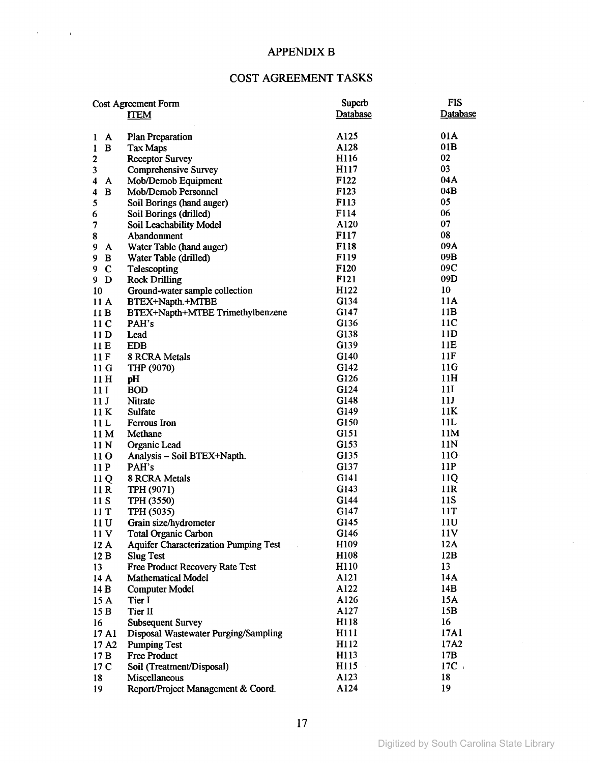## **APPENDIX B**

 $\mathcal{L}^{\pm}$ 

 $\mathcal{L}^{\text{max}}_{\text{max}}$ 

## COST AGREEMENT TASKS

|                                     | <b>Cost Agreement Form</b>                   | Superb           | <b>FIS</b> |  |  |  |  |  |  |  |  |  |
|-------------------------------------|----------------------------------------------|------------------|------------|--|--|--|--|--|--|--|--|--|
|                                     | <b>ITEM</b>                                  | Database         | Database   |  |  |  |  |  |  |  |  |  |
|                                     |                                              |                  |            |  |  |  |  |  |  |  |  |  |
| A<br>1                              | <b>Plan Preparation</b>                      | A125             | 01A        |  |  |  |  |  |  |  |  |  |
| $\, {\bf B}$<br>1                   | <b>Tax Maps</b>                              | A128             | 01B        |  |  |  |  |  |  |  |  |  |
| $\boldsymbol{2}$                    | <b>Receptor Survey</b>                       | H116             | 02         |  |  |  |  |  |  |  |  |  |
| 3                                   | <b>Comprehensive Survey</b>                  | H117             | 03         |  |  |  |  |  |  |  |  |  |
| 4<br>A                              | Mob/Demob Equipment                          | F122             | 04A        |  |  |  |  |  |  |  |  |  |
| $\bf{B}$<br>$\overline{\mathbf{4}}$ | Mob/Demob Personnel                          | F <sub>123</sub> | 04B        |  |  |  |  |  |  |  |  |  |
| 5                                   | Soil Borings (hand auger)                    | F113             | 05         |  |  |  |  |  |  |  |  |  |
| 6                                   | Soil Borings (drilled)                       | F114             | 06         |  |  |  |  |  |  |  |  |  |
| 7                                   | Soil Leachability Model                      | A120             | 07         |  |  |  |  |  |  |  |  |  |
| 8                                   | F117<br>Abandonment                          |                  |            |  |  |  |  |  |  |  |  |  |
| 9<br>A                              | Water Table (hand auger)                     | F118             | 09A        |  |  |  |  |  |  |  |  |  |
| 9<br>B                              | Water Table (drilled)                        | F119             | 09B        |  |  |  |  |  |  |  |  |  |
| $\mathbf C$<br>9                    | Telescopting                                 | F120             | 09C        |  |  |  |  |  |  |  |  |  |
| $9$ D                               | <b>Rock Drilling</b>                         | F121             | 09D        |  |  |  |  |  |  |  |  |  |
| 10                                  | Ground-water sample collection               | H122             | 10         |  |  |  |  |  |  |  |  |  |
| 11A                                 | BTEX+Napth.+MTBE                             | G134             | 11A        |  |  |  |  |  |  |  |  |  |
| 11B                                 | BTEX+Napth+MTBE Trimethylbenzene             | G147             | 11B        |  |  |  |  |  |  |  |  |  |
| 11 <sub>C</sub>                     | PAH's                                        | G136             | 11C        |  |  |  |  |  |  |  |  |  |
| 11D                                 | Lead                                         | G138             | 11D        |  |  |  |  |  |  |  |  |  |
| 11E                                 | <b>EDB</b>                                   | G139             | 11E        |  |  |  |  |  |  |  |  |  |
| 11F                                 | 8 RCRA Metals                                | G140             | 11F        |  |  |  |  |  |  |  |  |  |
| 11 <sub>G</sub>                     | THP (9070)                                   | G142             | 11G        |  |  |  |  |  |  |  |  |  |
| 11H                                 | pH                                           | G126             | 11H        |  |  |  |  |  |  |  |  |  |
| 11 I                                | <b>BOD</b>                                   | G124             | <b>11I</b> |  |  |  |  |  |  |  |  |  |
| 11J                                 | Nitrate                                      | G148             | 11J        |  |  |  |  |  |  |  |  |  |
| 11K                                 | Sulfate                                      | G149             | 11K        |  |  |  |  |  |  |  |  |  |
| 11L                                 | Ferrous Iron                                 | G150             | 11L        |  |  |  |  |  |  |  |  |  |
| 11M                                 | Methane                                      | G151             | 11M        |  |  |  |  |  |  |  |  |  |
| 11 <sub>N</sub>                     | Organic Lead                                 | G153             | 11N        |  |  |  |  |  |  |  |  |  |
| 11 <sub>O</sub>                     | Analysis - Soil BTEX+Napth.                  | G135             | 11O        |  |  |  |  |  |  |  |  |  |
| 11P                                 | PAH's                                        | G137             | 11P        |  |  |  |  |  |  |  |  |  |
| 11Q                                 | 8 RCRA Metals                                | G141             | 11Q        |  |  |  |  |  |  |  |  |  |
| 11R                                 | TPH (9071)                                   | G143             | 11R        |  |  |  |  |  |  |  |  |  |
| 11S                                 | TPH (3550)                                   | G144             | 11S        |  |  |  |  |  |  |  |  |  |
| 11T                                 | TPH (5035)                                   | G147             | 11T        |  |  |  |  |  |  |  |  |  |
| 11 U                                | Grain size/hydrometer                        | G145             | 11U        |  |  |  |  |  |  |  |  |  |
| 11 V                                | Total Organic Carbon                         | G146             | 11V        |  |  |  |  |  |  |  |  |  |
| 12A                                 | <b>Aquifer Characterization Pumping Test</b> | H <sub>109</sub> | 12A        |  |  |  |  |  |  |  |  |  |
| 12B                                 | <b>Slug Test</b>                             | H108             | 12B        |  |  |  |  |  |  |  |  |  |
| 13                                  | Free Product Recovery Rate Test              | H110             | 13         |  |  |  |  |  |  |  |  |  |
| 14 A                                | <b>Mathematical Model</b>                    | A121             | 14A        |  |  |  |  |  |  |  |  |  |
| 14B                                 | <b>Computer Model</b>                        | A122             | 14B        |  |  |  |  |  |  |  |  |  |
| 15 A                                | Tier I                                       | A126             | 15A        |  |  |  |  |  |  |  |  |  |
| 15B                                 | Tier II                                      | A127             | 15B        |  |  |  |  |  |  |  |  |  |
|                                     |                                              | H118             | 16         |  |  |  |  |  |  |  |  |  |
| 16                                  | <b>Subsequent Survey</b>                     |                  | 17A1       |  |  |  |  |  |  |  |  |  |
| 17 A1                               | Disposal Wastewater Purging/Sampling         | H111<br>H112     | 17A2       |  |  |  |  |  |  |  |  |  |
| 17 A <sub>2</sub>                   | <b>Pumping Test</b><br><b>Free Product</b>   | H113             | 17B        |  |  |  |  |  |  |  |  |  |
| 17B<br>17 C                         |                                              | H115             | 17C        |  |  |  |  |  |  |  |  |  |
|                                     | Soil (Treatment/Disposal)                    |                  | 18         |  |  |  |  |  |  |  |  |  |
| 18                                  | Miscellaneous                                | A123             |            |  |  |  |  |  |  |  |  |  |
| 19                                  | Report/Project Management & Coord.           | A124             | 19         |  |  |  |  |  |  |  |  |  |

 $\bar{z}$ 

 $\sim$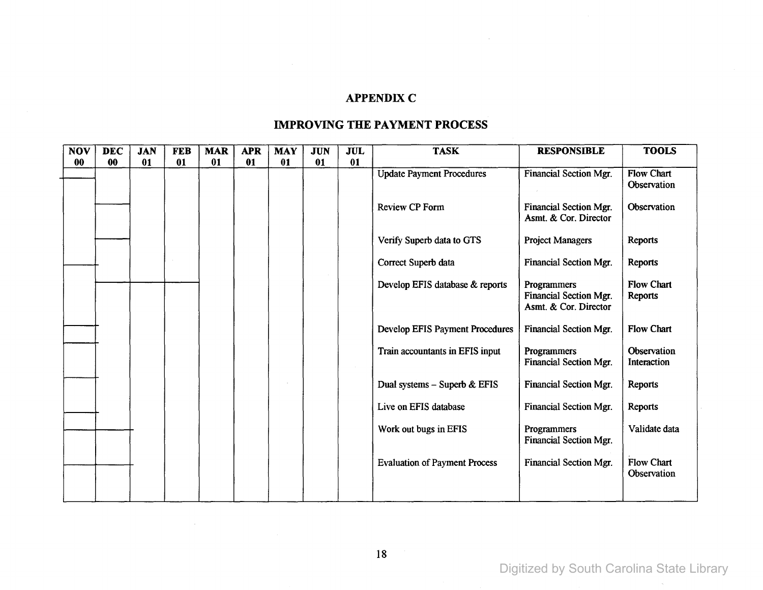## **APPENDIX C**

| <b>NOV</b> | <b>DEC</b> | <b>JAN</b> | <b>FEB</b> | <b>MAR</b> | <b>APR</b> | <b>MAY</b> | <b>JUN</b> | <b>JUL</b> | <b>TASK</b>                            | <b>RESPONSIBLE</b>                                             | <b>TOOLS</b>                            |
|------------|------------|------------|------------|------------|------------|------------|------------|------------|----------------------------------------|----------------------------------------------------------------|-----------------------------------------|
| 00         | 00         | 01         | 01         | 01         | 01         | 01         | 01         | 01         |                                        |                                                                |                                         |
|            |            |            |            |            |            |            |            |            | <b>Update Payment Procedures</b>       | <b>Financial Section Mgr.</b>                                  | <b>Flow Chart</b><br><b>Observation</b> |
|            |            |            |            |            |            |            |            |            | <b>Review CP Form</b>                  | Financial Section Mgr.<br>Asmt. & Cor. Director                | Observation                             |
|            |            |            |            |            |            |            |            |            | Verify Superb data to GTS              | <b>Project Managers</b>                                        | Reports                                 |
|            |            |            |            |            |            |            |            |            | Correct Superb data                    | Financial Section Mgr.                                         | Reports                                 |
|            |            |            |            |            |            |            |            |            | Develop EFIS database & reports        | Programmers<br>Financial Section Mgr.<br>Asmt. & Cor. Director | <b>Flow Chart</b><br><b>Reports</b>     |
|            |            |            |            |            |            |            |            |            | <b>Develop EFIS Payment Procedures</b> | Financial Section Mgr.                                         | <b>Flow Chart</b>                       |
|            |            |            |            |            |            |            |            |            | Train accountants in EFIS input        | <b>Programmers</b><br>Financial Section Mgr.                   | Observation<br>Interaction              |
|            |            |            |            |            |            |            |            |            | Dual systems - Superb $&EFIS$          | <b>Financial Section Mgr.</b>                                  | Reports                                 |
|            |            |            |            |            |            |            |            |            | Live on EFIS database                  | Financial Section Mgr.                                         | Reports                                 |
|            |            |            |            |            |            |            |            |            | Work out bugs in EFIS                  | Programmers<br>Financial Section Mgr.                          | Validate data                           |
|            |            |            |            |            |            |            |            |            | <b>Evaluation of Payment Process</b>   | Financial Section Mgr.                                         | <b>Flow Chart</b><br>Observation        |
|            |            |            |            |            |            |            |            |            |                                        |                                                                |                                         |

## **IMPROVING THE PAYMENT PROCESS**

 $\sim$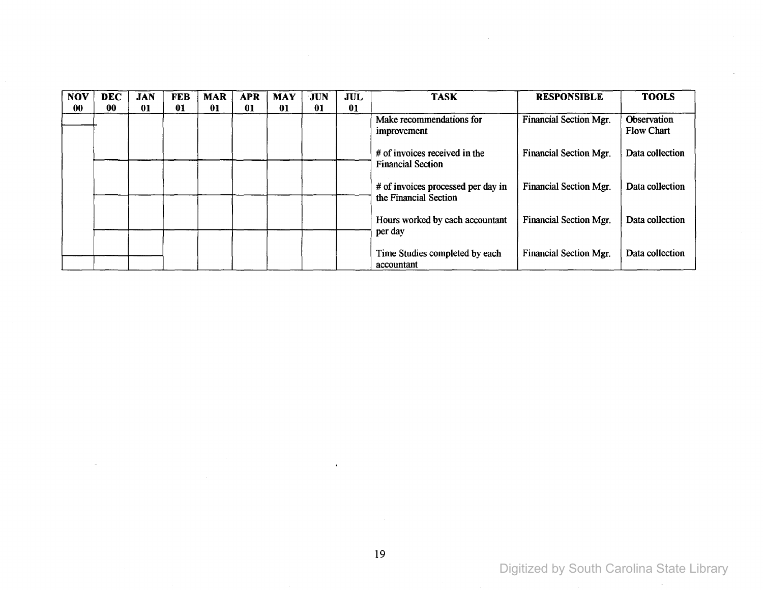| <b>NOV</b> | <b>DEC</b> | <b>JAN</b> | <b>FEB</b> | <b>MAR</b> | <b>APR</b> | <b>MAY</b> | <b>JUN</b> | <b>JUL</b> | <b>TASK</b>                                                 | <b>RESPONSIBLE</b>            | <b>TOOLS</b>                     |
|------------|------------|------------|------------|------------|------------|------------|------------|------------|-------------------------------------------------------------|-------------------------------|----------------------------------|
| 00         | 00         | 01         | 01         | 01         | 01         | 01         | 01         | 01         |                                                             |                               |                                  |
|            |            |            |            |            |            |            |            |            | Make recommendations for<br>improvement                     | <b>Financial Section Mgr.</b> | Observation<br><b>Flow Chart</b> |
|            |            |            |            |            |            |            |            |            | # of invoices received in the<br><b>Financial Section</b>   | <b>Financial Section Mgr.</b> | Data collection                  |
|            |            |            |            |            |            |            |            |            | # of invoices processed per day in<br>the Financial Section | Financial Section Mgr.        | Data collection                  |
|            |            |            |            |            |            |            |            |            | Hours worked by each accountant<br>per day                  | Financial Section Mgr.        | Data collection                  |
|            |            |            |            |            |            |            |            |            | Time Studies completed by each<br>accountant                | Financial Section Mgr.        | Data collection                  |

 $\sim$ 

 $\bullet$ 

 $\bar{\mathbf{z}}$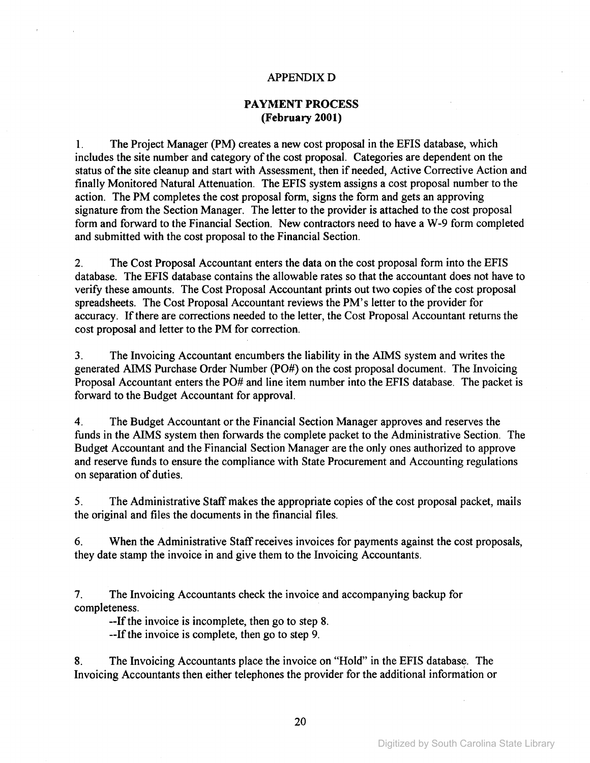#### APPENDIXD

### **PAYMENT PROCESS (February 2001)**

1. The Project Manager (PM) creates a new cost proposal in the EFIS database, which includes the site number and category of the cost proposal. Categories are dependent on the status of the site cleanup and start with Assessment, then if needed, Active Corrective Action and finally Monitored Natural Attenuation. The EFIS system assigns a cost proposal number to the action. The PM completes the cost proposal form, signs the form and gets an approving signature from the Section Manager. The letter to the provider is attached to the cost proposal form and forward to the Financial Section. New contractors need to have a W-9 form completed and submitted with the cost proposal to the Financial Section.

2. The Cost Proposal Accountant enters the data on the cost proposal form into the EFIS database. The EFIS database contains the allowable rates so that the accountant does not have to verify these amounts. The Cost Proposal Accountant prints out two copies of the cost proposal spreadsheets. The Cost Proposal Accountant reviews the PM's letter to the provider for accuracy. If there are corrections needed to the letter, the Cost Proposal Accountant returns the cost proposal and letter to the PM for correction.

3. The Invoicing Accountant encumbers the liability in the AIMS system and writes the generated AIMS Purchase Order Number (PO#) on the cost proposal document. The Invoicing Proposal Accountant enters the PO# and line item number into the EFIS database. The packet is forward to the Budget Accountant for approval.

4. The Budget Accountant or the Financial Section Manager approves and reserves the funds in the AIMS system then forwards the complete packet to the Administrative Section. The Budget Accountant and the Financial Section Manager are the only ones authorized to approve and reserve funds to ensure the compliance with State Procurement and Accounting regulations on separation of duties.

5. The Administrative Staff makes the appropriate copies of the cost proposal packet, mails the original and files the documents in the financial files.

6. When the Administrative Staffreceives invoices for payments against the cost proposals, they date stamp the invoice in and give them to the Invoicing Accountants.

7. The Invoicing Accountants check the invoice and accompanying backup for completeness.

--If the invoice is incomplete, then go to step 8.

--If the invoice is complete, then go to step 9.

8. The Invoicing Accountants place the invoice on "Hold" in the EFIS database. The Invoicing Accountants then either telephones the provider for the additional information or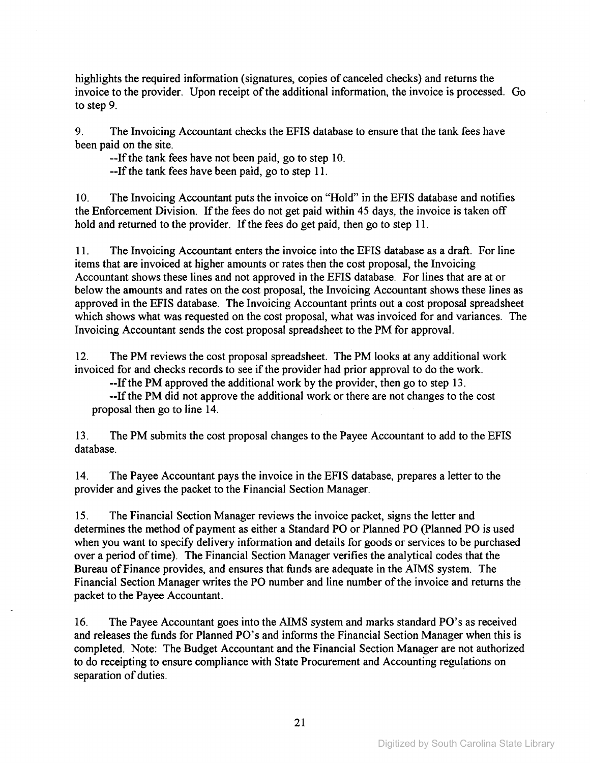highlights the required information (signatures, copies of canceled checks) and returns the invoice to the provider. Upon receipt of the additional information, the invoice is processed. Go to step 9.

9. The Invoicing Accountant checks the EFIS database to ensure that the tank fees have been paid on the site.

--If the tank fees have not been paid, go to step 10.

--If the tank fees have been paid, go to step 11.

10. The Invoicing Accountant puts the invoice on "Hold" in the EFIS database and notifies the Enforcement Division. If the fees do not get paid within 45 days, the invoice is taken off hold and returned to the provider. If the fees do get paid, then go to step 11.

11. The Invoicing Accountant enters the invoice into the EFIS database as a draft. For line items that are invoiced at higher amounts or rates then the cost proposal, the Invoicing Accountant shows these lines and not approved in the EFIS database. For lines that are at or below the amounts and rates on the cost proposal, the Invoicing Accountant shows these lines as approved in the EFIS database. The Invoicing Accountant prints out a cost proposal spreadsheet which shows what was requested on the cost proposal, what was invoiced for and variances. The Invoicing Accountant sends the cost proposal spreadsheet to the PM for approval.

12. The PM reviews the cost proposal spreadsheet. The PM looks at any additional work invoiced for and checks records to see if the provider had prior approval to do the work.

--If the PM approved the additional work by the provider, then go to step 13.

--Ifthe PM did not approve the additional work or there are not changes to the cost proposal then go to line 14.

13. The PM submits the cost proposal changes to the Payee Accountant to add to the EFIS database.

14. The Payee Accountant pays the invoice in the EFIS database, prepares a letter to the provider and gives the packet to the Financial Section Manager.

15. The Financial Section Manager reviews the invoice packet, signs the letter and determines the method of payment as either a Standard PO or Planned PO (planned PO is used when you want to specify delivery information and details for goods or services to be purchased over a period of time). The Financial Section Manager verifies the analytical codes that the Bureau ofFinance provides, and ensures that funds are adequate in the AIMS system. The Financial Section Manager writes the PO number and line number of the invoice and returns the packet to the Payee Accountant.

16. The Payee Accountant goes into the AIMS system and marks standard PO's as received and releases the funds for Planned PO's and informs the Financial Section Manager when this is completed. Note: The Budget Accountant and the Financial Section Manager are not authorized to do receipting to ensure compliance with State Procurement and Accounting regulations on separation of duties.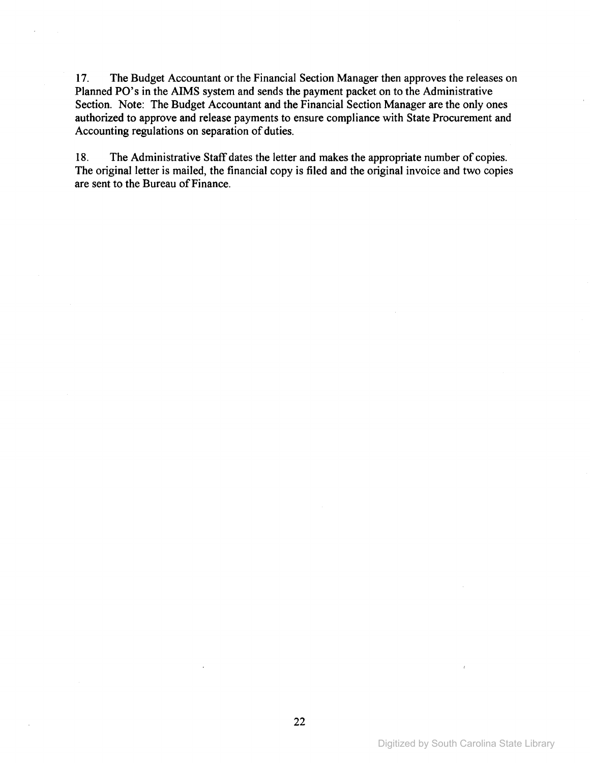17. The Budget Accountant or the Financial Section Manager then approves the releases on Planned PO's in the AIMS system and sends the payment packet on to the Administrative Section. Note: The Budget Accountant and the Financial Section Manager are the only ones authorized to approve and release payments to ensure compliance with State Procurement and Accounting regulations on separation of duties.

18. The Administrative Staff dates the letter and makes the appropriate number of copies. The original letter is mailed, the financial copy is filed and the original invoice and two copies are sent to the Bureau of Finance.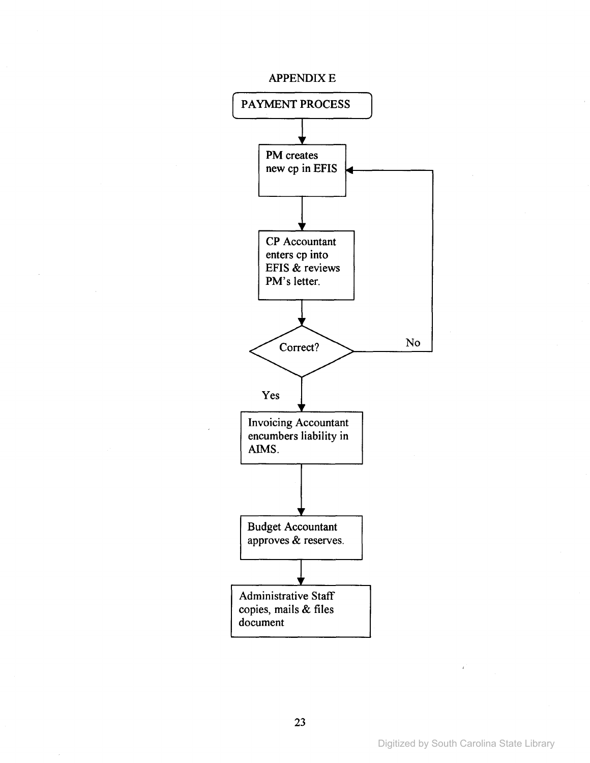#### **APPENDIX E**

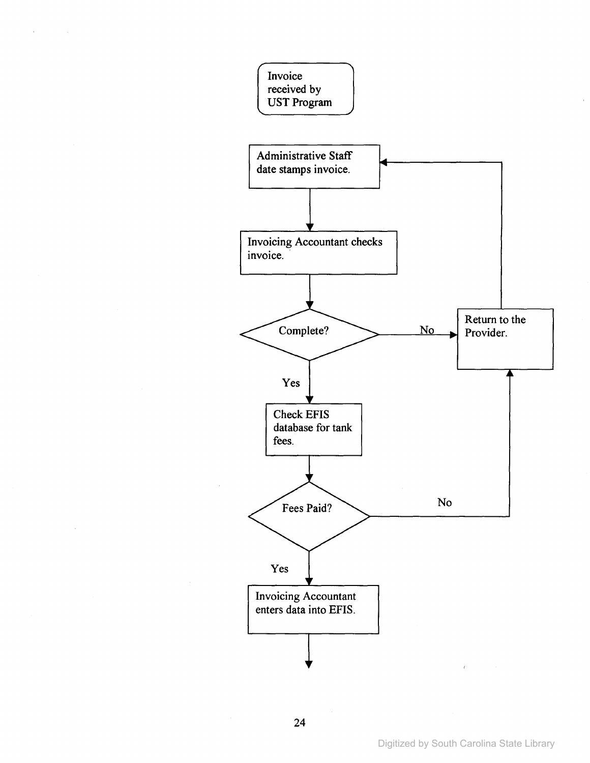

 $\bar{\mathbf{v}}$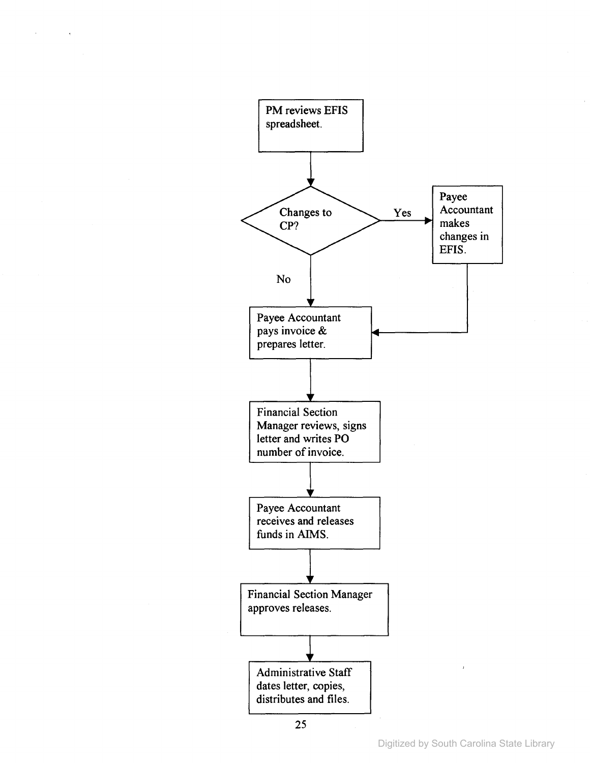